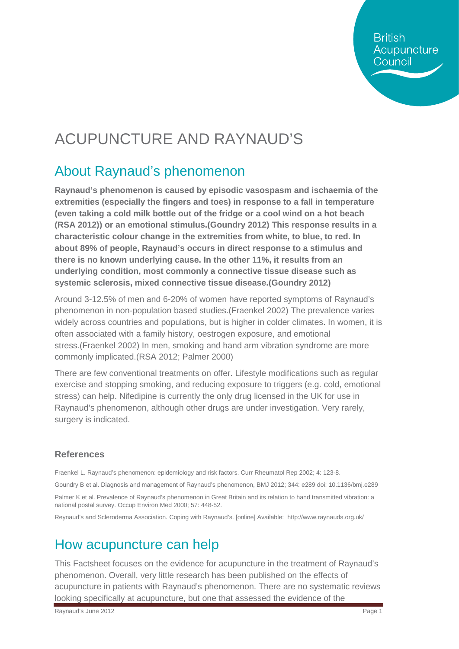**British** Acupuncture Council

## ACUPUNCTURE AND RAYNAUD'S

#### About Raynaud's phenomenon

**Raynaud's phenomenon is caused by episodic vasospasm and ischaemia of the extremities (especially the fingers and toes) in response to a fall in temperature (even taking a cold milk bottle out of the fridge or a cool wind on a hot beach (RSA 2012)) or an emotional stimulus.(Goundry 2012) This response results in a characteristic colour change in the extremities from white, to blue, to red. In about 89% of people, Raynaud's occurs in direct response to a stimulus and there is no known underlying cause. In the other 11%, it results from an underlying condition, most commonly a connective tissue disease such as systemic sclerosis, mixed connective tissue disease.(Goundry 2012)**

Around 3-12.5% of men and 6-20% of women have reported symptoms of Raynaud's phenomenon in non-population based studies.(Fraenkel 2002) The prevalence varies widely across countries and populations, but is higher in colder climates. In women, it is often associated with a family history, oestrogen exposure, and emotional stress.(Fraenkel 2002) In men, smoking and hand arm vibration syndrome are more commonly implicated.(RSA 2012; Palmer 2000)

There are few conventional treatments on offer. Lifestyle modifications such as regular exercise and stopping smoking, and reducing exposure to triggers (e.g. cold, emotional stress) can help. Nifedipine is currently the only drug licensed in the UK for use in Raynaud's phenomenon, although other drugs are under investigation. Very rarely, surgery is indicated.

#### **References**

Fraenkel L. Raynaud's phenomenon: epidemiology and risk factors. Curr Rheumatol Rep 2002; 4: 123-8.

Goundry B et al. Diagnosis and management of Raynaud's phenomenon, BMJ 2012; 344: e289 doi: 10.1136/bmj.e289 Palmer K et al. Prevalence of Raynaud's phenomenon in Great Britain and its relation to hand transmitted vibration: a national postal survey. Occup Environ Med 2000; 57: 448-52.

Reynaud's and Scleroderma Association. Coping with Raynaud's. [online] Available: <http://www.raynauds.org.uk/>

### How acupuncture can help

This Factsheet focuses on the evidence for acupuncture in the treatment of Raynaud's phenomenon. Overall, very little research has been published on the effects of acupuncture in patients with Raynaud's phenomenon. There are no systematic reviews looking specifically at acupuncture, but one that assessed the evidence of the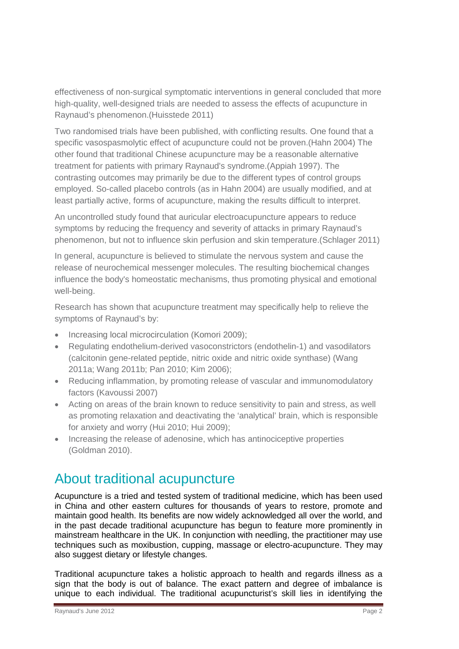effectiveness of non-surgical symptomatic interventions in general concluded that more high-quality, well-designed trials are needed to assess the effects of acupuncture in Raynaud's phenomenon.(Huisstede 2011)

Two randomised trials have been published, with conflicting results. One found that a specific vasospasmolytic effect of acupuncture could not be proven.(Hahn 2004) The other found that traditional Chinese acupuncture may be a reasonable alternative treatment for patients with primary Raynaud's syndrome.(Appiah 1997). The contrasting outcomes may primarily be due to the different types of control groups employed. So-called placebo controls (as in Hahn 2004) are usually modified, and at least partially active, forms of acupuncture, making the results difficult to interpret.

An uncontrolled study found that auricular electroacupuncture appears to reduce symptoms by reducing the frequency and severity of attacks in primary Raynaud's phenomenon, but not to influence skin perfusion and skin temperature.(Schlager 2011)

In general, acupuncture is believed to stimulate the nervous system and cause the release of neurochemical messenger molecules. The resulting biochemical changes influence the body's homeostatic mechanisms, thus promoting physical and emotional well-being.

Research has shown that acupuncture treatment may specifically help to relieve the symptoms of Raynaud's by:

- Increasing local microcirculation (Komori 2009);
- Regulating endothelium-derived vasoconstrictors (endothelin-1) and vasodilators (calcitonin gene-related peptide, nitric oxide and nitric oxide synthase) (Wang 2011a; Wang 2011b; Pan 2010; Kim 2006);
- Reducing inflammation, by promoting release of vascular and immunomodulatory factors (Kavoussi 2007)
- Acting on areas of the brain known to reduce sensitivity to pain and stress, as well as promoting relaxation and deactivating the 'analytical' brain, which is responsible for anxiety and worry (Hui 2010; Hui 2009);
- Increasing the release of adenosine, which has antinociceptive properties (Goldman 2010).

#### About traditional acupuncture

Acupuncture is a tried and tested system of traditional medicine, which has been used in China and other eastern cultures for thousands of years to restore, promote and maintain good health. Its benefits are now widely acknowledged all over the world, and in the past decade traditional acupuncture has begun to feature more prominently in mainstream healthcare in the UK. In conjunction with needling, the practitioner may use techniques such as moxibustion, cupping, massage or electro-acupuncture. They may also suggest dietary or lifestyle changes.

Traditional acupuncture takes a holistic approach to health and regards illness as a sign that the body is out of balance. The exact pattern and degree of imbalance is unique to each individual. The traditional acupuncturist's skill lies in identifying the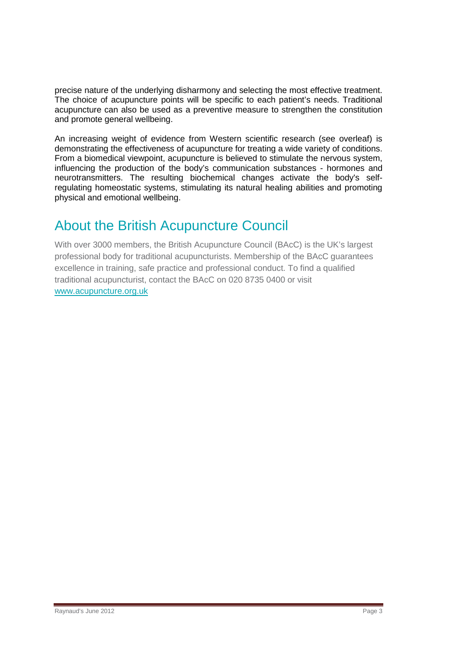precise nature of the underlying disharmony and selecting the most effective treatment. The choice of acupuncture points will be specific to each patient's needs. Traditional acupuncture can also be used as a preventive measure to strengthen the constitution and promote general wellbeing.

An increasing weight of evidence from Western scientific research (see overleaf) is demonstrating the effectiveness of acupuncture for treating a wide variety of conditions. From a biomedical viewpoint, acupuncture is believed to stimulate the nervous system, influencing the production of the body's communication substances - hormones and neurotransmitters. The resulting biochemical changes activate the body's selfregulating homeostatic systems, stimulating its natural healing abilities and promoting physical and emotional wellbeing.

### About the British Acupuncture Council

With over 3000 members, the British Acupuncture Council (BAcC) is the UK's largest professional body for traditional acupuncturists. Membership of the BAcC guarantees excellence in training, safe practice and professional conduct. To find a qualified traditional acupuncturist, contact the BAcC on 020 8735 0400 or visit [www.acupuncture.org.uk](http://www.acupuncture.org.uk/)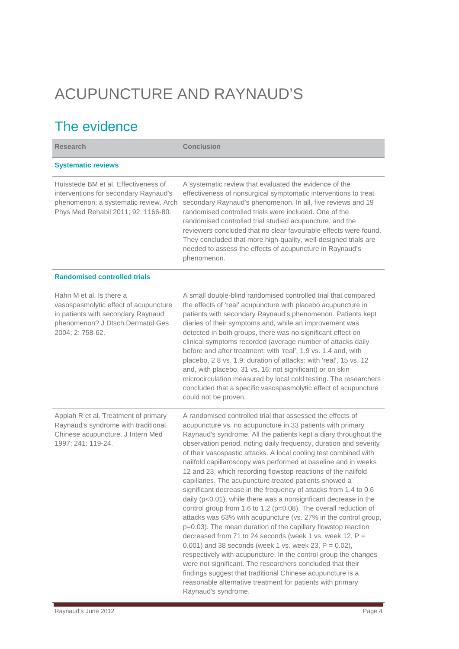# ACUPUNCTURE AND RAYNAUD'S

## The evidence

| <b>Research</b>                                                                                                                                                 | <b>Conclusion</b>                                                                                                                                                                                                                                                                                                                                                                                                                                                                                                                                                                                                                                                                                                                                                                                                                                                                                                                                                                                                                                                                                                                                                                                                                                                                                   |
|-----------------------------------------------------------------------------------------------------------------------------------------------------------------|-----------------------------------------------------------------------------------------------------------------------------------------------------------------------------------------------------------------------------------------------------------------------------------------------------------------------------------------------------------------------------------------------------------------------------------------------------------------------------------------------------------------------------------------------------------------------------------------------------------------------------------------------------------------------------------------------------------------------------------------------------------------------------------------------------------------------------------------------------------------------------------------------------------------------------------------------------------------------------------------------------------------------------------------------------------------------------------------------------------------------------------------------------------------------------------------------------------------------------------------------------------------------------------------------------|
| <b>Systematic reviews</b>                                                                                                                                       |                                                                                                                                                                                                                                                                                                                                                                                                                                                                                                                                                                                                                                                                                                                                                                                                                                                                                                                                                                                                                                                                                                                                                                                                                                                                                                     |
| Huisstede BM et al. Effectiveness of<br>interventions for secondary Raynaud's<br>phenomenon: a systematic review. Arch<br>Phys Med Rehabil 2011; 92: 1166-80.   | A systematic review that evaluated the evidence of the<br>effectiveness of nonsurgical symptomatic interventions to treat<br>secondary Raynaud's phenomenon. In all, five reviews and 19<br>randomised controlled trials were included. One of the<br>randomised controlled trial studied acupuncture, and the<br>reviewers concluded that no clear favourable effects were found.<br>They concluded that more high-quality, well-designed trials are<br>needed to assess the effects of acupuncture in Raynaud's<br>phenomenon.                                                                                                                                                                                                                                                                                                                                                                                                                                                                                                                                                                                                                                                                                                                                                                    |
| <b>Randomised controlled trials</b>                                                                                                                             |                                                                                                                                                                                                                                                                                                                                                                                                                                                                                                                                                                                                                                                                                                                                                                                                                                                                                                                                                                                                                                                                                                                                                                                                                                                                                                     |
| Hahn M et al. Is there a<br>vasospasmolytic effect of acupuncture<br>in patients with secondary Raynaud<br>phenomenon? J Dtsch Dermatol Ges<br>2004; 2: 758-62. | A small double-blind randomised controlled trial that compared<br>the effects of 'real' acupuncture with placebo acupuncture in<br>patients with secondary Raynaud's phenomenon. Patients kept<br>diaries of their symptoms and, while an improvement was<br>detected in both groups, there was no significant effect on<br>clinical symptoms recorded (average number of attacks daily<br>before and after treatment: with 'real', 1.9 vs. 1.4 and, with<br>placebo, 2.8 vs. 1.9; duration of attacks: with 'real', 15 vs. 12<br>and, with placebo, 31 vs. 16; not significant) or on skin<br>microcirculation measured by local cold testing. The researchers<br>concluded that a specific vasospasmolytic effect of acupuncture<br>could not be proven.                                                                                                                                                                                                                                                                                                                                                                                                                                                                                                                                          |
| Appiah R et al. Treatment of primary<br>Raynaud's syndrome with traditional<br>Chinese acupuncture. J Intern Med<br>1997; 241: 119-24.                          | A randomised controlled trial that assessed the effects of<br>acupuncture vs. no acupuncture in 33 patients with primary<br>Raynaud's syndrome. All the patients kept a diary throughout the<br>observation period, noting daily frequency, duration and severity<br>of their vasospastic attacks. A local cooling test combined with<br>nailfold capillaroscopy was performed at baseline and in weeks<br>12 and 23, which recording flowstop reactions of the nailfold<br>capillaries. The acupuncture-treated patients showed a<br>significant decrease in the frequency of attacks from 1.4 to 0.6<br>daily ( $p<0.01$ ), while there was a nonsignficant decrease in the<br>control group from 1.6 to 1.2 (p=0.08). The overall reduction of<br>attacks was 63% with acupuncture (vs. 27% in the control group,<br>p=0.03). The mean duration of the capillary flowstop reaction<br>decreased from 71 to 24 seconds (week 1 vs. week 12, $P =$<br>0.001) and 38 seconds (week 1 vs. week 23, $P = 0.02$ ),<br>respectively with acupuncture. In the control group the changes<br>were not significant. The researchers concluded that their<br>findings suggest that traditional Chinese acupuncture is a<br>reasonable alternative treatment for patients with primary<br>Raynaud's syndrome. |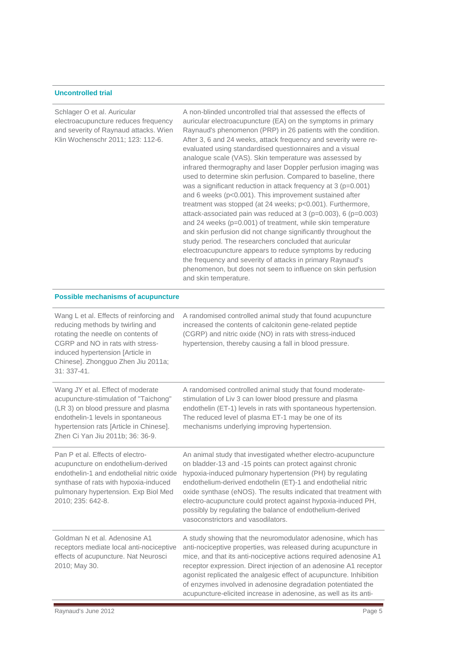#### **Uncontrolled trial**

Schlager O et al. Auricular electroacupuncture reduces frequency and severity of Raynaud attacks. Wien Klin Wochenschr 2011; 123: 112-6.

A non-blinded uncontrolled trial that assessed the effects of auricular electroacupuncture (EA) on the symptoms in primary Raynaud's phenomenon (PRP) in 26 patients with the condition. After 3, 6 and 24 weeks, attack frequency and severity were reevaluated using standardised questionnaires and a visual analogue scale (VAS). Skin temperature was assessed by infrared thermography and laser Doppler perfusion imaging was used to determine skin perfusion. Compared to baseline, there was a significant reduction in attack frequency at 3 (p=0.001) and 6 weeks (p<0.001). This improvement sustained after treatment was stopped (at 24 weeks; p<0.001). Furthermore, attack-associated pain was reduced at 3 (p=0.003), 6 (p=0.003) and 24 weeks (p=0.001) of treatment, while skin temperature and skin perfusion did not change significantly throughout the study period. The researchers concluded that auricular electroacupuncture appears to reduce symptoms by reducing the frequency and severity of attacks in primary Raynaud's phenomenon, but does not seem to influence on skin perfusion and skin temperature.

#### **Possible mechanisms of acupuncture**

| Wang L et al. Effects of reinforcing and<br>reducing methods by twirling and<br>rotating the needle on contents of<br>CGRP and NO in rats with stress-<br>induced hypertension [Article in<br>Chinese]. Zhongguo Zhen Jiu 2011a;<br>31: 337-41. | A randomised controlled animal study that found acupuncture<br>increased the contents of calcitonin gene-related peptide<br>(CGRP) and nitric oxide (NO) in rats with stress-induced<br>hypertension, thereby causing a fall in blood pressure.                                                                                                                                                                                                                                                |
|-------------------------------------------------------------------------------------------------------------------------------------------------------------------------------------------------------------------------------------------------|------------------------------------------------------------------------------------------------------------------------------------------------------------------------------------------------------------------------------------------------------------------------------------------------------------------------------------------------------------------------------------------------------------------------------------------------------------------------------------------------|
| Wang JY et al. Effect of moderate<br>acupuncture-stimulation of "Taichong"<br>(LR 3) on blood pressure and plasma<br>endothelin-1 levels in spontaneous<br>hypertension rats [Article in Chinese].<br>Zhen Ci Yan Jiu 2011b; 36: 36-9.          | A randomised controlled animal study that found moderate-<br>stimulation of Liv 3 can lower blood pressure and plasma<br>endothelin (ET-1) levels in rats with spontaneous hypertension.<br>The reduced level of plasma ET-1 may be one of its<br>mechanisms underlying improving hypertension.                                                                                                                                                                                                |
| Pan P et al. Effects of electro-<br>acupuncture on endothelium-derived<br>endothelin-1 and endothelial nitric oxide<br>synthase of rats with hypoxia-induced<br>pulmonary hypertension. Exp Biol Med<br>2010; 235: 642-8.                       | An animal study that investigated whether electro-acupuncture<br>on bladder-13 and -15 points can protect against chronic<br>hypoxia-induced pulmonary hypertension (PH) by regulating<br>endothelium-derived endothelin (ET)-1 and endothelial nitric<br>oxide synthase (eNOS). The results indicated that treatment with<br>electro-acupuncture could protect against hypoxia-induced PH,<br>possibly by regulating the balance of endothelium-derived<br>vasoconstrictors and vasodilators. |
| Goldman N et al. Adenosine A1<br>receptors mediate local anti-nociceptive<br>effects of acupuncture. Nat Neurosci<br>2010; May 30.                                                                                                              | A study showing that the neuromodulator adenosine, which has<br>anti-nociceptive properties, was released during acupuncture in<br>mice, and that its anti-nociceptive actions required adenosine A1<br>receptor expression. Direct injection of an adenosine A1 receptor<br>agonist replicated the analgesic effect of acupuncture. Inhibition<br>of enzymes involved in adenosine degradation potentiated the<br>acupuncture-elicited increase in adenosine, as well as its anti-            |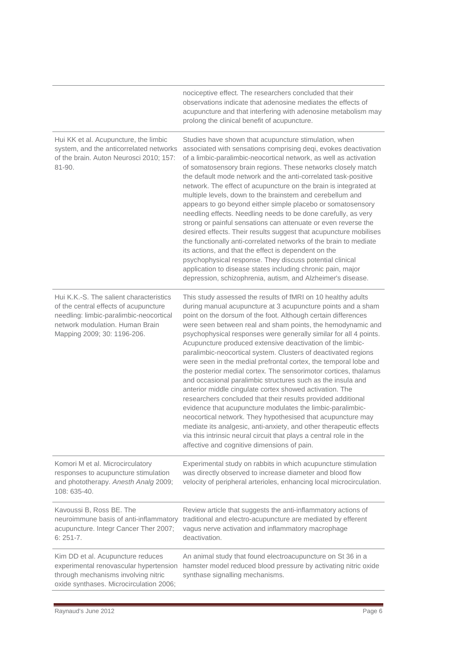|                                                                                                                                                                                               | nociceptive effect. The researchers concluded that their<br>observations indicate that adenosine mediates the effects of<br>acupuncture and that interfering with adenosine metabolism may<br>prolong the clinical benefit of acupuncture.                                                                                                                                                                                                                                                                                                                                                                                                                                                                                                                                                                                                                                                                                                                                                                                                                                                                                  |
|-----------------------------------------------------------------------------------------------------------------------------------------------------------------------------------------------|-----------------------------------------------------------------------------------------------------------------------------------------------------------------------------------------------------------------------------------------------------------------------------------------------------------------------------------------------------------------------------------------------------------------------------------------------------------------------------------------------------------------------------------------------------------------------------------------------------------------------------------------------------------------------------------------------------------------------------------------------------------------------------------------------------------------------------------------------------------------------------------------------------------------------------------------------------------------------------------------------------------------------------------------------------------------------------------------------------------------------------|
| Hui KK et al. Acupuncture, the limbic<br>system, and the anticorrelated networks<br>of the brain. Auton Neurosci 2010; 157:<br>81-90.                                                         | Studies have shown that acupuncture stimulation, when<br>associated with sensations comprising deqi, evokes deactivation<br>of a limbic-paralimbic-neocortical network, as well as activation<br>of somatosensory brain regions. These networks closely match<br>the default mode network and the anti-correlated task-positive<br>network. The effect of acupuncture on the brain is integrated at<br>multiple levels, down to the brainstem and cerebellum and<br>appears to go beyond either simple placebo or somatosensory<br>needling effects. Needling needs to be done carefully, as very<br>strong or painful sensations can attenuate or even reverse the<br>desired effects. Their results suggest that acupuncture mobilises<br>the functionally anti-correlated networks of the brain to mediate<br>its actions, and that the effect is dependent on the<br>psychophysical response. They discuss potential clinical<br>application to disease states including chronic pain, major<br>depression, schizophrenia, autism, and Alzheimer's disease.                                                             |
| Hui K.K.-S. The salient characteristics<br>of the central effects of acupuncture<br>needling: limbic-paralimbic-neocortical<br>network modulation. Human Brain<br>Mapping 2009; 30: 1196-206. | This study assessed the results of fMRI on 10 healthy adults<br>during manual acupuncture at 3 acupuncture points and a sham<br>point on the dorsum of the foot. Although certain differences<br>were seen between real and sham points, the hemodynamic and<br>psychophysical responses were generally similar for all 4 points.<br>Acupuncture produced extensive deactivation of the limbic-<br>paralimbic-neocortical system. Clusters of deactivated regions<br>were seen in the medial prefrontal cortex, the temporal lobe and<br>the posterior medial cortex. The sensorimotor cortices, thalamus<br>and occasional paralimbic structures such as the insula and<br>anterior middle cingulate cortex showed activation. The<br>researchers concluded that their results provided additional<br>evidence that acupuncture modulates the limbic-paralimbic-<br>neocortical network. They hypothesised that acupuncture may<br>mediate its analgesic, anti-anxiety, and other therapeutic effects<br>via this intrinsic neural circuit that plays a central role in the<br>affective and cognitive dimensions of pain. |
| Komori M et al. Microcirculatory<br>responses to acupuncture stimulation<br>and phototherapy. Anesth Analg 2009;<br>108: 635-40.                                                              | Experimental study on rabbits in which acupuncture stimulation<br>was directly observed to increase diameter and blood flow<br>velocity of peripheral arterioles, enhancing local microcirculation.                                                                                                                                                                                                                                                                                                                                                                                                                                                                                                                                                                                                                                                                                                                                                                                                                                                                                                                         |
| Kavoussi B, Ross BE. The<br>neuroimmune basis of anti-inflammatory<br>acupuncture. Integr Cancer Ther 2007;<br>$6:251 - 7.$                                                                   | Review article that suggests the anti-inflammatory actions of<br>traditional and electro-acupuncture are mediated by efferent<br>vagus nerve activation and inflammatory macrophage<br>deactivation.                                                                                                                                                                                                                                                                                                                                                                                                                                                                                                                                                                                                                                                                                                                                                                                                                                                                                                                        |
| Kim DD et al. Acupuncture reduces<br>experimental renovascular hypertension<br>through mechanisms involving nitric<br>oxide synthases. Microcirculation 2006;                                 | An animal study that found electroacupuncture on St 36 in a<br>hamster model reduced blood pressure by activating nitric oxide<br>synthase signalling mechanisms.                                                                                                                                                                                                                                                                                                                                                                                                                                                                                                                                                                                                                                                                                                                                                                                                                                                                                                                                                           |